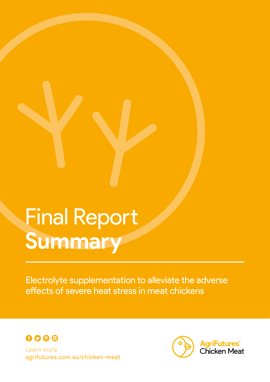# Final Report **Summary**

Electrolyte supplementation to alleviate the adverse effects of severe heat stress in meat chickens



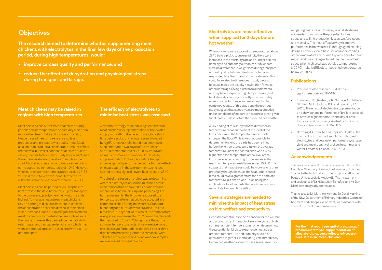#### **Electrolytes are most effective when supplied for 3 days before hot weather**

When chickens were exposed to temperatures above 28 °C before pick-up, unsurprisingly, there were increases in the mortality rate and number of birds needing to be humanely euthanised. While there were no differences in weight loss during transport or meat quality, between treatments, females responded less than males to the treatments. This could be related to differences in body weight, because males are usually heavier than females of the same age. Giving electrolyte supplements one day before expected high temperatures (and heat stress) did not significantly affect mortality or improve performance and meat quality. The combined results of this study and the previous study suggest that electrolytes are most effective under conditions of moderate heat stress when given for at least 2-3 days before the expected hot weather.

A key finding of this study was the difference in temperature between the air at the level of the birds' backs and the temperature under birds sitting on the floor. While it was not possible to determine how long the birds had been sitting before the temperatures were taken, the average temperature under the seated birds was 4.4 ºC higher than the temperature at the level of the birds' backs when standing. In one instance, the maximum temperature difference was 10.9 ºC. This suggests that heat stress could be more severe than previously thought because the heat under seated birds could have a greater effect than the ambient temperature in a shed alone. This finding has implications for older birds that are larger and much more likely to spend time sitting.

#### **Several strategies are needed to minimise the impact of heat stress on bird welfare and productivity**

Heat stress continues to be a concern for the welfare and productivity of meat chickens in regions of high summer ambient temperatures. When determining the potential for birds to experience heat stress, ambient temperature and humidity should be considered together. Electrolytes given immediately before hot weather appear to have some benefit in

mitigating heat stress. However, several strategies are needed to minimise the potential for heat stress and to limit production losses, welfare issues and mortality. The most effective way to improve performance in hot weather is through good housing design. Farmers should have sound understanding of the temperature and humidity predictions for their region, and use strategies to reduce the risk of heat stress when high predicted outside temperatures (> 32 ºC) make it difficult to keep shed temperatures below 26-28 ºC.

#### **Publications**

#### **Research Meat chickens may be raised in regions with high temperatures**

- Previous related research: PRJ-009120 (agrifutures.com.au /18-013)
- Elshafaei, H.E., Rashed, R.R., Goma, A.A., El-Kazaz, S.E. Kerr, M.J., Hopkins, D. L. and Downing, J.A. (2020) The effect of electrolyte supplementation on behaviour and performance of broilers exposed to adverse high temperature one day prior to transport and processing. Australasian Poultry Science Symposium, 31: 152-155.
- Downing, J.A., Kerr, M. and Hopkins, D. (2017) The effects of pre-transport supplementation with electrolytes and betaine on performance, carcass yield and meat quality of broilers in summer and winter. Livestock Science, 205: 16-23.

### **Acknowledgements**

This work was done at the Poultry Research Unit in The Faculty of Veterinary Science, The University of Sydney. Thanks to the technical and other support staff in the Poultry Unit, especially Ms Joy Gill. The involvement and assistance of Dr Hebatallah Elshafaei and Mr Don Nicholson are greatly appreciated.

Thanks also to Mr Matthew Kerr and Dr David Hopkins of the NSW Department of Primary Industries, Centre for Red Meat and Sheep Development, for assistance with some of the meat quality measures.

**The research aimed to determine whether supplementing meat chickens with electrolytes in the final few days of the production period, during high temperatures, would:**

- **• improve carcass quality and performance, and**
- **• reduce the effects of dehydration and physiological stress during transport and lairage.**

# **Objectives**

A common strategy for minimising heat stress in meat chickens is supplementation of their water supply with salts, called 'electrolytes', for a short time before pick-up. Previous research funded by AgriFutures Australia found that electrolyte supplementation two days before transport, and at air temperatures of 26-28 ºC, improved animal outcomes and meat quality. However, supplementation for five days before transport improved growth performance but had limited effects on meat quality. In those experiments, chickens started to show signs of severe heat stress at 28 ºC.

The aim of this research project was to determine whether electrolytes could minimise heat stress at air temperatures above 28 ºC, at one day and at three days before pick-up and processing. For both experiments, the birds were exposed to a temperature pattern that could be expected in a commercial shed during hot weather. Standard husbandry and nutrition were provided until the birds were 39 days old. At this point, the temperature was gradually increased to 32 ºC during the day, and then reduced to 20-22 ºC, to replicate the normal summer temperature cycle. Birds were given one of two electrolyte formulations, for either one or three days before processing. After the carcasses were collected at the processing plant, random samples were assessed for meat quality.

Meat chickens can suffer from heat stress during periods of high temperatures or humidity, which can reduce their feed intake and increase mortality. Heat-stressed meat chickens are also less productive and produce lower quality meat. Meat chickens can produce a considerable amount of heat themselves, but will experience heat stress due to a variety of other factors, particularly body weight, and the air temperature and relative humidity in the shed. Good shed insulation and evaporative cooling can reduce shed temperatures by 8-10 ºC. However, when outdoor summer temperatures exceed 28-32 <sup>o</sup>C, it is difficult to keep the indoor temperature within the ideal thermal comfort zone (18-22 ºC).

Meat chickens can be particularly susceptible to heat stress in the days before pick-up for transport to the processing plant,when their weight is at its highest.To manage heat stress, meat chickens rely on panting to dissipate heat, but this raises the concentration of carbon dioxide in their blood, which increases blood pH.To mitigate these effects, meat chickens will excrete higher amounts of salts in their urine. However,this can reduce their ability to retain water and can cause dehydration, which may worsen potential stressors associated with pick-up and transport.

#### **The efficacy of electrolytes to minimise heat stress was assessed**

**For the final report see agrifutures.com.au/ product/electrolyte-supplementation-toalleviate-the-adverse-effects-of-severeheat-stress-in-meat-chickens**